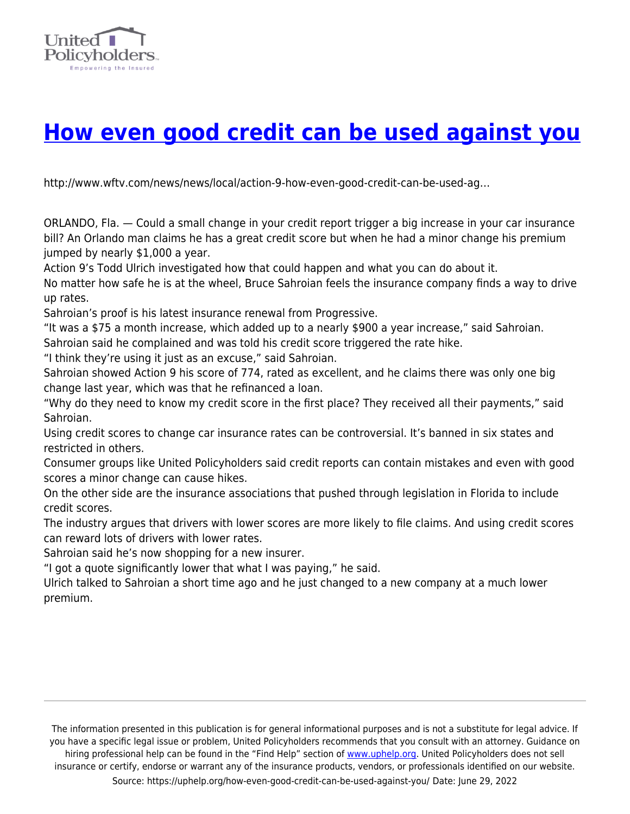

## **[How even good credit can be used against you](https://uphelp.org/how-even-good-credit-can-be-used-against-you/)**

http://www.wftv.com/news/news/local/action-9-how-even-good-credit-can-be-used-ag…

ORLANDO, Fla. — Could a small change in your credit report trigger a big increase in your car insurance bill? An Orlando man claims he has a great credit score but when he had a minor change his premium jumped by nearly \$1,000 a year.

Action 9's Todd Ulrich investigated how that could happen and what you can do about it.

No matter how safe he is at the wheel, Bruce Sahroian feels the insurance company finds a way to drive up rates.

Sahroian's proof is his latest insurance renewal from Progressive.

"It was a \$75 a month increase, which added up to a nearly \$900 a year increase," said Sahroian. Sahroian said he complained and was told his credit score triggered the rate hike.

"I think they're using it just as an excuse," said Sahroian.

Sahroian showed Action 9 his score of 774, rated as excellent, and he claims there was only one big change last year, which was that he refinanced a loan.

"Why do they need to know my credit score in the first place? They received all their payments," said Sahroian.

Using credit scores to change car insurance rates can be controversial. It's banned in six states and restricted in others.

Consumer groups like United Policyholders said credit reports can contain mistakes and even with good scores a minor change can cause hikes.

On the other side are the insurance associations that pushed through legislation in Florida to include credit scores.

The industry argues that drivers with lower scores are more likely to file claims. And using credit scores can reward lots of drivers with lower rates.

Sahroian said he's now shopping for a new insurer.

"I got a quote significantly lower that what I was paying," he said.

Ulrich talked to Sahroian a short time ago and he just changed to a new company at a much lower premium.

The information presented in this publication is for general informational purposes and is not a substitute for legal advice. If you have a specific legal issue or problem, United Policyholders recommends that you consult with an attorney. Guidance on hiring professional help can be found in the "Find Help" section of [www.uphelp.org.](http://www.uphelp.org/) United Policyholders does not sell insurance or certify, endorse or warrant any of the insurance products, vendors, or professionals identified on our website. Source: https://uphelp.org/how-even-good-credit-can-be-used-against-you/ Date: June 29, 2022